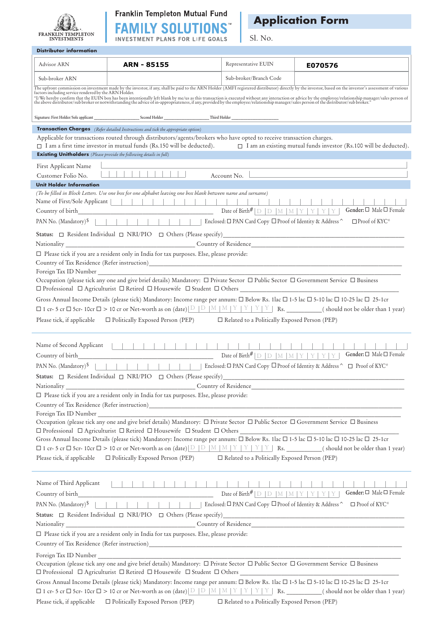



*Application Form*

Sl. No.

| Advisor ARN                                                                | ARN - 85155                                                                                                                                                                                                                                                                                               | Representative EUIN                                                                                                                                                             | E070576                                                                                                                                                                                                                        |
|----------------------------------------------------------------------------|-----------------------------------------------------------------------------------------------------------------------------------------------------------------------------------------------------------------------------------------------------------------------------------------------------------|---------------------------------------------------------------------------------------------------------------------------------------------------------------------------------|--------------------------------------------------------------------------------------------------------------------------------------------------------------------------------------------------------------------------------|
| Sub-broker ARN                                                             |                                                                                                                                                                                                                                                                                                           | Sub-broker/Branch Code                                                                                                                                                          |                                                                                                                                                                                                                                |
|                                                                            |                                                                                                                                                                                                                                                                                                           |                                                                                                                                                                                 | The upfront commission on investment made by the investor, if any, shall be paid to the ARN Holder (AMFI registered distributor) directly by the investor, based on the investor's assessment of various factors including ser |
|                                                                            |                                                                                                                                                                                                                                                                                                           |                                                                                                                                                                                 | "I/We hereby confirm that the EUIN box has been intentionally left blank by me/us as this transaction is executed without any interaction or advice by the employee/relationship manager/sales person of the distributor/sub b |
|                                                                            |                                                                                                                                                                                                                                                                                                           |                                                                                                                                                                                 |                                                                                                                                                                                                                                |
|                                                                            | <b>Transaction Charges</b> (Refer detailed Instructions and tick the appropriate option)                                                                                                                                                                                                                  |                                                                                                                                                                                 |                                                                                                                                                                                                                                |
|                                                                            | Applicable for transactions routed through distributors/agents/brokers who have opted to receive transaction charges.                                                                                                                                                                                     |                                                                                                                                                                                 |                                                                                                                                                                                                                                |
| <b>Existing Unitholders</b> (Please provide the following details in full) |                                                                                                                                                                                                                                                                                                           |                                                                                                                                                                                 | □ I am a first time investor in mutual funds (Rs.150 will be deducted). □ I am an existing mutual funds investor (Rs.100 will be deducted).                                                                                    |
|                                                                            |                                                                                                                                                                                                                                                                                                           |                                                                                                                                                                                 |                                                                                                                                                                                                                                |
| First Applicant Name<br>Customer Folio No.                                 |                                                                                                                                                                                                                                                                                                           |                                                                                                                                                                                 | the control of the control of the control of the control of the control of the control of<br>Account No.                                                                                                                       |
| <b>Unit Holder Information</b>                                             |                                                                                                                                                                                                                                                                                                           |                                                                                                                                                                                 |                                                                                                                                                                                                                                |
|                                                                            | (To be filled in Block Letters. Use one box for one alphabet leaving one box blank between name and surname)<br>Name of First/Sole Applicant                                <br>PAN No. (Mandatory) <sup>\$</sup>                     Enclosed: $\Box$ PAN Card Copy $\Box$ Proof of Identity & Address ^ |                                                                                                                                                                                 | $-1$ $-1$ $-1$ $-1$ $-1$ $-1$<br>Gender: □ Male □ Female                                                                                                                                                                       |
|                                                                            |                                                                                                                                                                                                                                                                                                           |                                                                                                                                                                                 | $\Box$ Proof of KYC*                                                                                                                                                                                                           |
|                                                                            |                                                                                                                                                                                                                                                                                                           |                                                                                                                                                                                 |                                                                                                                                                                                                                                |
|                                                                            |                                                                                                                                                                                                                                                                                                           |                                                                                                                                                                                 |                                                                                                                                                                                                                                |
|                                                                            | $\square$ Please tick if you are a resident only in India for tax purposes. Else, please provide:                                                                                                                                                                                                         |                                                                                                                                                                                 |                                                                                                                                                                                                                                |
|                                                                            | Foreign Tax ID Number                                                                                                                                                                                                                                                                                     |                                                                                                                                                                                 |                                                                                                                                                                                                                                |
|                                                                            | Occupation (please tick any one and give brief details) Mandatory: $\Box$ Private Sector $\Box$ Public Sector $\Box$ Government Service $\Box$ Business                                                                                                                                                   |                                                                                                                                                                                 |                                                                                                                                                                                                                                |
|                                                                            |                                                                                                                                                                                                                                                                                                           |                                                                                                                                                                                 |                                                                                                                                                                                                                                |
|                                                                            | Gross Annual Income Details (please tick) Mandatory: Income range per annum: □ Below Rs. 1lac □ 1-5 lac □ 5-10 lac □ 10-25 lac □ 25-1cr                                                                                                                                                                   |                                                                                                                                                                                 |                                                                                                                                                                                                                                |
|                                                                            |                                                                                                                                                                                                                                                                                                           |                                                                                                                                                                                 |                                                                                                                                                                                                                                |
|                                                                            | Please tick, if applicable $\square$ Politically Exposed Person (PEP) $\square$ Related to a Politically Exposed Person (PEP)                                                                                                                                                                             |                                                                                                                                                                                 |                                                                                                                                                                                                                                |
| Name of Second Applicant<br>Country of birth                               |                                                                                                                                                                                                                                                                                                           | .<br>Date of Birth# $\mathbb{D}$ $\mathbb{D}$ $\mathbb{N}$ $\mathbb{N}$ $\mathbb{N}$ $\mathbb{N}$ $\mathbb{N}$ $\mathbb{N}$ $\mathbb{N}$ $\mathbb{N}$ $\mathbb{N}$ $\mathbb{N}$ | Gender: □ Male □ Female                                                                                                                                                                                                        |
|                                                                            | PAN No. (Mandatory) <sup>\$</sup>                   Enclosed: □ PAN Card Copy □ Proof of Identity & Address ^                                                                                                                                                                                             |                                                                                                                                                                                 | $\Box$ Proof of KYC*                                                                                                                                                                                                           |
|                                                                            | Status: $\Box$ Resident Individual $\Box$ NRI/PIO $\Box$ Others (Please specify)                                                                                                                                                                                                                          |                                                                                                                                                                                 |                                                                                                                                                                                                                                |
| Nationality                                                                | Country of Residence                                                                                                                                                                                                                                                                                      |                                                                                                                                                                                 |                                                                                                                                                                                                                                |
|                                                                            | $\square$ Please tick if you are a resident only in India for tax purposes. Else, please provide:                                                                                                                                                                                                         |                                                                                                                                                                                 |                                                                                                                                                                                                                                |
|                                                                            |                                                                                                                                                                                                                                                                                                           |                                                                                                                                                                                 |                                                                                                                                                                                                                                |
|                                                                            | Occupation (please tick any one and give brief details) Mandatory: $\Box$ Private Sector $\Box$ Public Sector $\Box$ Government Service $\Box$ Business                                                                                                                                                   |                                                                                                                                                                                 |                                                                                                                                                                                                                                |
|                                                                            | Gross Annual Income Details (please tick) Mandatory: Income range per annum: $\Box$ Below Rs. 1lac $\Box$ 1-5 lac $\Box$ 5-10 lac $\Box$ 10-25 lac $\Box$ 25-1cr                                                                                                                                          |                                                                                                                                                                                 |                                                                                                                                                                                                                                |
|                                                                            |                                                                                                                                                                                                                                                                                                           |                                                                                                                                                                                 |                                                                                                                                                                                                                                |
| Please tick, if applicable                                                 | $\Box$ Politically Exposed Person (PEP) $\Box$ Related to a Politically Exposed Person (PEP)                                                                                                                                                                                                              |                                                                                                                                                                                 |                                                                                                                                                                                                                                |
| Name of Third Applicant                                                    |                                                                                                                                                                                                                                                                                                           |                                                                                                                                                                                 |                                                                                                                                                                                                                                |
|                                                                            |                                                                                                                                                                                                                                                                                                           | Date of Birth <sup>#</sup> $\vert D \vert D \vert M \vert M \vert Y \vert Y \vert Y \vert Y \vert$                                                                              | Gender: □ Male □ Female                                                                                                                                                                                                        |
| PAN No. (Mandatory) <sup>\$</sup>                                          |                                                                                                                                                                                                                                                                                                           |                                                                                                                                                                                 | $\Box$ Proof of KYC*                                                                                                                                                                                                           |
|                                                                            |                                                                                                                                                                                                                                                                                                           |                                                                                                                                                                                 |                                                                                                                                                                                                                                |
|                                                                            |                                                                                                                                                                                                                                                                                                           |                                                                                                                                                                                 |                                                                                                                                                                                                                                |
|                                                                            | $\square$ Please tick if you are a resident only in India for tax purposes. Else, please provide:                                                                                                                                                                                                         |                                                                                                                                                                                 |                                                                                                                                                                                                                                |
|                                                                            |                                                                                                                                                                                                                                                                                                           |                                                                                                                                                                                 |                                                                                                                                                                                                                                |
| Foreign Tax ID Number                                                      |                                                                                                                                                                                                                                                                                                           |                                                                                                                                                                                 |                                                                                                                                                                                                                                |
|                                                                            | Occupation (please tick any one and give brief details) Mandatory: □ Private Sector □ Public Sector □ Government Service □ Business                                                                                                                                                                       |                                                                                                                                                                                 |                                                                                                                                                                                                                                |
|                                                                            | Gross Annual Income Details (please tick) Mandatory: Income range per annum: □ Below Rs. 1lac □ 1-5 lac □ 5-10 lac □ 10-25 lac □ 25-1cr                                                                                                                                                                   |                                                                                                                                                                                 |                                                                                                                                                                                                                                |
|                                                                            |                                                                                                                                                                                                                                                                                                           |                                                                                                                                                                                 |                                                                                                                                                                                                                                |
|                                                                            | Please tick, if applicable $\square$ Politically Exposed Person (PEP) $\square$ Related to a Politically Exposed Person (PEP)                                                                                                                                                                             |                                                                                                                                                                                 |                                                                                                                                                                                                                                |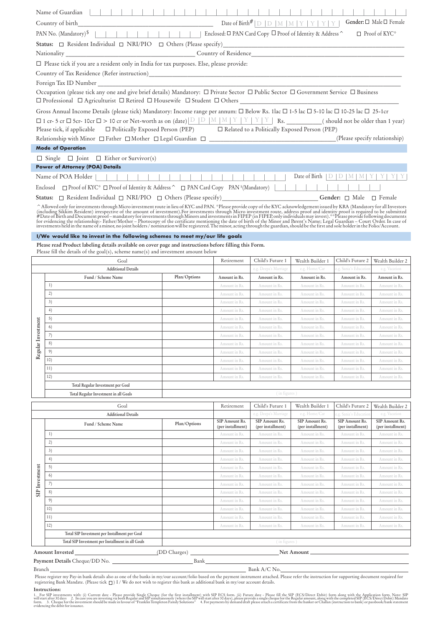|                                                                                                                                                                           | Name of Guardian                                                                                                                                                                                                             |                                                           |                                |                                           |                                   |                                           |                                   |  |  |  |  |
|---------------------------------------------------------------------------------------------------------------------------------------------------------------------------|------------------------------------------------------------------------------------------------------------------------------------------------------------------------------------------------------------------------------|-----------------------------------------------------------|--------------------------------|-------------------------------------------|-----------------------------------|-------------------------------------------|-----------------------------------|--|--|--|--|
| Gender: $\Box$ Male $\Box$ Female<br>Date of Birth <sup>#</sup> $\vert D \vert$ $\vert D \vert$ $\vert M \vert$ $\vert Y \vert$ $\vert Y \vert$<br>YY<br>Country of birth |                                                                                                                                                                                                                              |                                                           |                                |                                           |                                   |                                           |                                   |  |  |  |  |
|                                                                                                                                                                           | PAN No. (Mandatory) <sup>\$</sup>                                                                                                                                                                                            | Enclosed: □ PAN Card Copy □ Proof of Identity & Address ^ |                                |                                           |                                   |                                           | $\Box$ Proof of KYC*              |  |  |  |  |
|                                                                                                                                                                           | <b>Status:</b> $\Box$ Resident Individual $\Box$ NRI/PIO $\Box$ Others (Please specify)                                                                                                                                      |                                                           |                                |                                           |                                   |                                           |                                   |  |  |  |  |
|                                                                                                                                                                           |                                                                                                                                                                                                                              |                                                           |                                |                                           |                                   |                                           |                                   |  |  |  |  |
|                                                                                                                                                                           | □ Please tick if you are a resident only in India for tax purposes. Else, please provide:                                                                                                                                    |                                                           |                                |                                           |                                   |                                           |                                   |  |  |  |  |
|                                                                                                                                                                           |                                                                                                                                                                                                                              |                                                           |                                |                                           |                                   |                                           |                                   |  |  |  |  |
|                                                                                                                                                                           |                                                                                                                                                                                                                              |                                                           |                                |                                           |                                   |                                           |                                   |  |  |  |  |
| Foreign Tax ID Number                                                                                                                                                     |                                                                                                                                                                                                                              |                                                           |                                |                                           |                                   |                                           |                                   |  |  |  |  |
|                                                                                                                                                                           | Occupation (please tick any one and give brief details) Mandatory: □ Private Sector □ Public Sector □ Government Service □ Business                                                                                          |                                                           |                                |                                           |                                   |                                           |                                   |  |  |  |  |
|                                                                                                                                                                           |                                                                                                                                                                                                                              |                                                           |                                |                                           |                                   |                                           |                                   |  |  |  |  |
|                                                                                                                                                                           | Gross Annual Income Details (please tick) Mandatory: Income range per annum: □ Below Rs. 1lac □ 1-5 lac □ 5-10 lac □ 10-25 lac □ 25-1cr                                                                                      |                                                           |                                |                                           |                                   |                                           |                                   |  |  |  |  |
|                                                                                                                                                                           | Please tick, if applicable □ Politically Exposed Person (PEP) □ Related to a Politically Exposed Person (PEP)                                                                                                                |                                                           |                                |                                           |                                   |                                           |                                   |  |  |  |  |
|                                                                                                                                                                           | Relationship with Minor □ Father □ Mother □ Legal Guardian □ ____________________                                                                                                                                            |                                                           |                                |                                           |                                   | (Please specify relationship)             |                                   |  |  |  |  |
|                                                                                                                                                                           | <b>Mode of Operation</b>                                                                                                                                                                                                     |                                                           |                                |                                           |                                   |                                           |                                   |  |  |  |  |
|                                                                                                                                                                           |                                                                                                                                                                                                                              |                                                           |                                |                                           |                                   |                                           |                                   |  |  |  |  |
|                                                                                                                                                                           | $\Box$ Single $\Box$ Joint $\Box$ Either or Survivor(s)<br><b>Power of Attorney (POA) Details</b>                                                                                                                            |                                                           |                                |                                           |                                   |                                           |                                   |  |  |  |  |
|                                                                                                                                                                           | Name of POA Holder                                                                                                                                                                                                           |                                                           |                                |                                           | Date of Birth $ D D M M Y Y $     |                                           |                                   |  |  |  |  |
|                                                                                                                                                                           | Enclosed $\Box$ Proof of KYC* $\Box$ Proof of Identity & Address $\hat{ }$ $\Box$ PAN Card Copy PAN $\{$ Mandatory) $\Box$                                                                                                   |                                                           |                                |                                           |                                   |                                           |                                   |  |  |  |  |
|                                                                                                                                                                           | Status: □ Resident Individual □ NRI/PIO □ Others (Please specify)_________________________Gender: □ Male □ Female                                                                                                            |                                                           |                                |                                           |                                   |                                           |                                   |  |  |  |  |
|                                                                                                                                                                           | ^ Allowed only for investments through Micro investment route in lieu of KYC and PAN. *Please provide copy of the KYC acknowledgement issued by KRA (Mandatory for all Investors (including Sikkim Resident) irrespective of |                                                           |                                |                                           |                                   |                                           |                                   |  |  |  |  |
|                                                                                                                                                                           |                                                                                                                                                                                                                              |                                                           |                                |                                           |                                   |                                           |                                   |  |  |  |  |
|                                                                                                                                                                           | I/We would like to invest in the following schemes to meet my/our life goals<br>Please read Product labeling details available on cover page and instructions before filling this Form.                                      |                                                           |                                |                                           |                                   |                                           |                                   |  |  |  |  |
|                                                                                                                                                                           | Please fill the details of the goal(s), scheme name(s) and investment amount below                                                                                                                                           |                                                           |                                |                                           |                                   |                                           |                                   |  |  |  |  |
|                                                                                                                                                                           | Goal                                                                                                                                                                                                                         |                                                           | Retirement                     | Child's Future 1                          | Wealth Builder 1                  | Child's Future 2                          | Wealth Builder 2                  |  |  |  |  |
|                                                                                                                                                                           | <b>Additional Details</b>                                                                                                                                                                                                    |                                                           |                                | e.g. Deepa's Marriage                     | e.g. Home/Car                     | e.g. Sania's Education                    | e.g. Vacation                     |  |  |  |  |
|                                                                                                                                                                           | Fund / Scheme Name                                                                                                                                                                                                           | Plan/Options                                              | Amount in Rs.                  | Amount in Rs.                             | Amount in Rs.                     | Amount in Rs.                             | Amount in Rs.                     |  |  |  |  |
|                                                                                                                                                                           | 1)                                                                                                                                                                                                                           |                                                           | Amount in Rs.                  | Amount in Rs.                             | Amount in Rs.                     | Amount in Rs.                             | Amount in Rs.                     |  |  |  |  |
|                                                                                                                                                                           | 2)<br>3)                                                                                                                                                                                                                     |                                                           | Amount in Rs.                  | Amount in Rs.                             | Amount in Rs.                     | Amount in Rs.                             | Amount in Rs.                     |  |  |  |  |
|                                                                                                                                                                           | 4)                                                                                                                                                                                                                           |                                                           | Amount in Rs.<br>Amount in Rs. | Amount in Rs.<br>Amount in Rs.            | Amount in Rs.<br>Amount in Rs.    | Amount in Rs.<br>Amount in Rs.            | Amount in Rs.<br>Amount in Rs.    |  |  |  |  |
|                                                                                                                                                                           | 5)                                                                                                                                                                                                                           |                                                           | Amount in Rs.                  | Amount in Rs.                             | Amount in Rs.                     | Amount in Rs.                             | Amount in Rs.                     |  |  |  |  |
| estment                                                                                                                                                                   | 6)                                                                                                                                                                                                                           |                                                           | Amount in Rs.                  | Amount in Rs.                             | Amount in Rs.                     | Amount in Rs.                             | Amount in Rs.                     |  |  |  |  |
|                                                                                                                                                                           | $\prime$ )                                                                                                                                                                                                                   |                                                           | Amount in Rs.                  | Amount in Rs.                             | Amount in Rs.                     | Amount in Rs.                             | Amount in Rs.                     |  |  |  |  |
|                                                                                                                                                                           | 8)                                                                                                                                                                                                                           |                                                           | Amount in Rs.                  | Amount in Rs.                             | Amount in Rs.                     | Amount in Rs                              | Amount in Rs.                     |  |  |  |  |
| Regular Inv                                                                                                                                                               | 9)                                                                                                                                                                                                                           |                                                           | Amount in Rs.                  | Amount in Rs.                             | Amount in Rs.                     | Amount in Rs                              | Amount in Rs                      |  |  |  |  |
|                                                                                                                                                                           | 10)                                                                                                                                                                                                                          |                                                           | Amount in Rs.                  | Amount in Rs.                             | Amount in Rs.                     | Amount in Rs                              | Amount in Rs                      |  |  |  |  |
|                                                                                                                                                                           | 11)<br>12)                                                                                                                                                                                                                   |                                                           | Amount in Rs.                  | Amount in Rs.                             | Amount in Rs.                     | Amount in Rs                              | Amount in Rs                      |  |  |  |  |
|                                                                                                                                                                           | Total Regular Investment per Goal                                                                                                                                                                                            |                                                           | Amount in Rs.                  | Amount in Rs.                             | Amount in Rs.                     | Amount in Rs.                             | Amount in Rs                      |  |  |  |  |
|                                                                                                                                                                           | Total Regular Investment in all Goals                                                                                                                                                                                        |                                                           |                                | (in figures)                              |                                   |                                           |                                   |  |  |  |  |
|                                                                                                                                                                           |                                                                                                                                                                                                                              |                                                           |                                |                                           |                                   |                                           |                                   |  |  |  |  |
|                                                                                                                                                                           | Goal<br><b>Additional Details</b>                                                                                                                                                                                            |                                                           | Retirement                     | Child's Future 1<br>e.g. Deepa's Marriage | Wealth Builder 1<br>e.g. Home/Car | Child's Future 2<br>.g. Sania's Educatio: | Wealth Builder 2<br>e.g. Vacation |  |  |  |  |
|                                                                                                                                                                           | Fund / Scheme Name                                                                                                                                                                                                           | Plan/Options                                              | SIP Amount Rs.                 | SIP Amount Rs.                            | SIP Amount Rs.                    | SIP Amount Rs.                            | SIP Amount Rs.                    |  |  |  |  |
|                                                                                                                                                                           | 1)                                                                                                                                                                                                                           |                                                           | (per installment)              | (per installment)                         | (per installment)                 | (per installment)                         | (per installment)                 |  |  |  |  |
|                                                                                                                                                                           | 2)                                                                                                                                                                                                                           |                                                           | Amount in Rs.<br>Amount in Rs. | Amount in Rs.<br>Amount in Rs.            | Amount in Rs.<br>Amount in Rs.    | Amount in Rs.<br>Amount in Rs.            | Amount in Rs.<br>Amount in Rs.    |  |  |  |  |
| SIP Investment                                                                                                                                                            | 3)                                                                                                                                                                                                                           |                                                           | Amount in Rs.                  | Amount in Rs.                             | Amount in Rs.                     | Amount in Rs                              | Amount in Rs.                     |  |  |  |  |
|                                                                                                                                                                           | 4)                                                                                                                                                                                                                           |                                                           | Amount in Rs.                  | Amount in Rs.                             | Amount in Rs.                     | Amount in Rs.                             | Amount in Rs                      |  |  |  |  |
|                                                                                                                                                                           | 5)                                                                                                                                                                                                                           |                                                           | Amount in Rs.                  | Amount in Rs.                             | Amount in Rs.                     | Amount in Rs                              | Amount in Rs                      |  |  |  |  |
|                                                                                                                                                                           | 6)                                                                                                                                                                                                                           |                                                           | Amount in Rs.                  | Amount in Rs.                             | Amount in Rs.                     | Amount in Rs.                             | Amount in Rs.                     |  |  |  |  |
|                                                                                                                                                                           | 7)                                                                                                                                                                                                                           |                                                           | Amount in Rs.                  | Amount in Rs.                             | Amount in Rs.                     | Amount in Rs.                             | Amount in Rs.                     |  |  |  |  |
|                                                                                                                                                                           | 8)                                                                                                                                                                                                                           |                                                           | Amount in Rs.                  | Amount in Rs.                             | Amount in Rs.                     | Amount in Rs                              | Amount in Rs.                     |  |  |  |  |
|                                                                                                                                                                           | 9)                                                                                                                                                                                                                           |                                                           | Amount in Rs.                  | Amount in Rs.                             | Amount in Rs.                     | Amount in Rs                              | Amount in Rs                      |  |  |  |  |
|                                                                                                                                                                           | 10)<br>11)                                                                                                                                                                                                                   |                                                           | Amount in Rs.                  | Amount in Rs.                             | Amount in Rs.                     | Amount in Rs                              | Amount in Rs.                     |  |  |  |  |
|                                                                                                                                                                           | 12)                                                                                                                                                                                                                          |                                                           | Amount in Rs.<br>Amount in Rs. | Amount in Rs.<br>Amount in Rs.            | Amount in Rs.<br>Amount in Rs.    | Amount in Rs.<br>Amount in Rs             | Amount in Rs.<br>Amount in Rs     |  |  |  |  |
|                                                                                                                                                                           | Total SIP Investment per Installment per Goal                                                                                                                                                                                |                                                           |                                |                                           |                                   |                                           |                                   |  |  |  |  |
|                                                                                                                                                                           | Total SIP Investment per Installment in all Goals                                                                                                                                                                            |                                                           |                                | (in figures)                              |                                   |                                           |                                   |  |  |  |  |
|                                                                                                                                                                           | Amount Invested<br>(DD Charges) __<br>Net Amount_                                                                                                                                                                            |                                                           |                                |                                           |                                   |                                           |                                   |  |  |  |  |
|                                                                                                                                                                           |                                                                                                                                                                                                                              |                                                           |                                |                                           |                                   |                                           |                                   |  |  |  |  |

Branch **Payment Details** Cheque/DD No. Bank

Bank A/C No.

Please register my Pay-in bank details also as one of the banks in my/our account/folio based on the payment instrument attached. Please refer the instruction for supporting document required for registering Bank Mandate. (Please tick  $\Box$ ) I / We do not wish to register this bank as additional bank in my/our account details.

## **Instructions:**

1. For SIP investments with: (i) Current date - Please provide Single Cheque (for the first installment) with SIP ECS form. (ii) Future date - Please fill the SIP (ECS/Direct Debit) Mandate in 1000 with the completed SIP (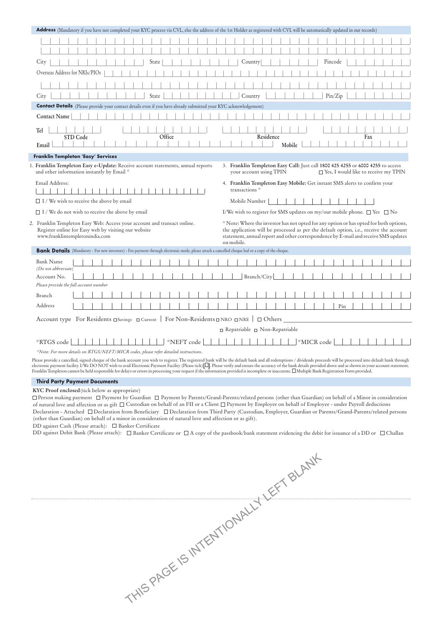| <b>Address</b> (Mandatory if you have not completed your KYC process via CVL, else the address of the 1st Holder as registered with CVL will be automatically updated in our records)                                                                                                                                                                                                                                                                       |                                                                                                                                                                                                                                                                                                                                                                                                                                                |  |  |  |
|-------------------------------------------------------------------------------------------------------------------------------------------------------------------------------------------------------------------------------------------------------------------------------------------------------------------------------------------------------------------------------------------------------------------------------------------------------------|------------------------------------------------------------------------------------------------------------------------------------------------------------------------------------------------------------------------------------------------------------------------------------------------------------------------------------------------------------------------------------------------------------------------------------------------|--|--|--|
|                                                                                                                                                                                                                                                                                                                                                                                                                                                             |                                                                                                                                                                                                                                                                                                                                                                                                                                                |  |  |  |
|                                                                                                                                                                                                                                                                                                                                                                                                                                                             |                                                                                                                                                                                                                                                                                                                                                                                                                                                |  |  |  |
| State<br>City                                                                                                                                                                                                                                                                                                                                                                                                                                               | Country<br>Pincode                                                                                                                                                                                                                                                                                                                                                                                                                             |  |  |  |
| Overseas Address for NRIs/PIOs                                                                                                                                                                                                                                                                                                                                                                                                                              |                                                                                                                                                                                                                                                                                                                                                                                                                                                |  |  |  |
|                                                                                                                                                                                                                                                                                                                                                                                                                                                             |                                                                                                                                                                                                                                                                                                                                                                                                                                                |  |  |  |
| City<br>State                                                                                                                                                                                                                                                                                                                                                                                                                                               | Pin/Zip<br>Country                                                                                                                                                                                                                                                                                                                                                                                                                             |  |  |  |
| <b>Contact Details</b> (Please provide your contact details even if you have already submitted your KYC acknowledgement)                                                                                                                                                                                                                                                                                                                                    |                                                                                                                                                                                                                                                                                                                                                                                                                                                |  |  |  |
| <b>Contact Name</b>                                                                                                                                                                                                                                                                                                                                                                                                                                         |                                                                                                                                                                                                                                                                                                                                                                                                                                                |  |  |  |
| Tel<br>Office<br>STD Code<br>Email                                                                                                                                                                                                                                                                                                                                                                                                                          | Residence<br>Fax<br>Mobile                                                                                                                                                                                                                                                                                                                                                                                                                     |  |  |  |
| Franklin Templeton 'Easy' Services                                                                                                                                                                                                                                                                                                                                                                                                                          |                                                                                                                                                                                                                                                                                                                                                                                                                                                |  |  |  |
| 1. Franklin Templeton Easy e-Update: Receive account statements, annual reports<br>and other information instantly by Email *                                                                                                                                                                                                                                                                                                                               | 3. Franklin Templeton Easy Call: Just call 1800 425 4255 or 6000 4255 to access<br>your account using TPIN<br>$\Box$ Yes, I would like to receive my TPIN                                                                                                                                                                                                                                                                                      |  |  |  |
| Email Address:                                                                                                                                                                                                                                                                                                                                                                                                                                              | 4. Franklin Templeton Easy Mobile: Get instant SMS alerts to confirm your<br>transactions <sup>*</sup>                                                                                                                                                                                                                                                                                                                                         |  |  |  |
| $\Box$ I / We wish to receive the above by email                                                                                                                                                                                                                                                                                                                                                                                                            | Mobile Number                                                                                                                                                                                                                                                                                                                                                                                                                                  |  |  |  |
| $\Box$ I / We do not wish to receive the above by email                                                                                                                                                                                                                                                                                                                                                                                                     | I/We wish to register for SMS updates on my/our mobile phone. $\square$ Yes $\square$ No                                                                                                                                                                                                                                                                                                                                                       |  |  |  |
| * Note: Where the investor has not opted for any option or has opted for both options,<br>2. Franklin Templeton Easy Web: Access your account and transact online.<br>Register online for Easy web by visiting our website<br>the application will be processed as per the default option, i.e., receive the account<br>www.franklintempletonindia.com<br>statement, annual report and other correspondence by E-mail and receive SMS updates<br>on mobile. |                                                                                                                                                                                                                                                                                                                                                                                                                                                |  |  |  |
| Bank Details (Mandatory - For new investors) - For payment through electronic mode, please attach a cancelled cheque leaf or a copy of the cheque.                                                                                                                                                                                                                                                                                                          |                                                                                                                                                                                                                                                                                                                                                                                                                                                |  |  |  |
| <b>Bank Name</b>                                                                                                                                                                                                                                                                                                                                                                                                                                            |                                                                                                                                                                                                                                                                                                                                                                                                                                                |  |  |  |
| (Do not abbreviate)<br>Account No.                                                                                                                                                                                                                                                                                                                                                                                                                          | Branch/City                                                                                                                                                                                                                                                                                                                                                                                                                                    |  |  |  |
| Please provide the full account number                                                                                                                                                                                                                                                                                                                                                                                                                      |                                                                                                                                                                                                                                                                                                                                                                                                                                                |  |  |  |
| Branch                                                                                                                                                                                                                                                                                                                                                                                                                                                      |                                                                                                                                                                                                                                                                                                                                                                                                                                                |  |  |  |
| Address                                                                                                                                                                                                                                                                                                                                                                                                                                                     | Pin                                                                                                                                                                                                                                                                                                                                                                                                                                            |  |  |  |
|                                                                                                                                                                                                                                                                                                                                                                                                                                                             |                                                                                                                                                                                                                                                                                                                                                                                                                                                |  |  |  |
| Account type For Residents $\Box$ Savings $\Box$ Current   For Non-Residents $\Box$ NRO $\Box$ NRE                                                                                                                                                                                                                                                                                                                                                          | $\Box$ Others                                                                                                                                                                                                                                                                                                                                                                                                                                  |  |  |  |
|                                                                                                                                                                                                                                                                                                                                                                                                                                                             | $\Box$ Repatriable $\Box$ Non-Repatriable                                                                                                                                                                                                                                                                                                                                                                                                      |  |  |  |
| *NEFT code<br>*RTGS code                                                                                                                                                                                                                                                                                                                                                                                                                                    | *MICR code                                                                                                                                                                                                                                                                                                                                                                                                                                     |  |  |  |
| *Note: For more details on RTGS/NEFT/MICR codes, please refer detailed instructions.                                                                                                                                                                                                                                                                                                                                                                        |                                                                                                                                                                                                                                                                                                                                                                                                                                                |  |  |  |
| Franklin Templeton cannot be held responsible for delays or errors in processing your request if the information provided is incomplete or inaccurate. [ Multiple Bank Registration Form provided.                                                                                                                                                                                                                                                          | Please provide a cancelled, signed cheque of the bank account you wish to register. The registered bank will be the default bank and all redemptions / dividends proceeds will be processed into default bank through<br>electronic payment facility. I/We DO NOT wish to avail Electronic Payment Facility (Please tick) []. Please verify and ensure the accuracy of the bank details provided above and as shown in your account statement. |  |  |  |

## *Third Party Payment Documents*

## **KYC Proof enclosed**(tick below as appropriate)

 $\Box$  Person making payment  $\Box$  Payment by Guardian  $\Box$  Payment by Parents/Grand-Parents/related persons (other than Guardian) on behalf of a Minor in consideration of natural love and affection or as gift  $\Box$  Custodian on behalf of an FII or a Client  $\Box$  Payment by Employer on behalf of Employee - under Payroll deductions Declaration - Attached Declaration from Beneficiary Declaration from Third Party (Custodian, Employer, Guardian or Parents/Grand-Parents/related persons (other than Guardian) on behalf of a minor in consideration of natural love and affection or as gift).

DD against Cash (Please attach): □ Banker Certificate

DD against Debit Bank (Please attach):  $\Box$  Banker Certificate or  $\Box$  A copy of the passbook/bank statement evidencing the debit for issuance of a DD or  $\Box$  Challan

THIS PAGE IS INTENTIONALLY LEFT BLANK